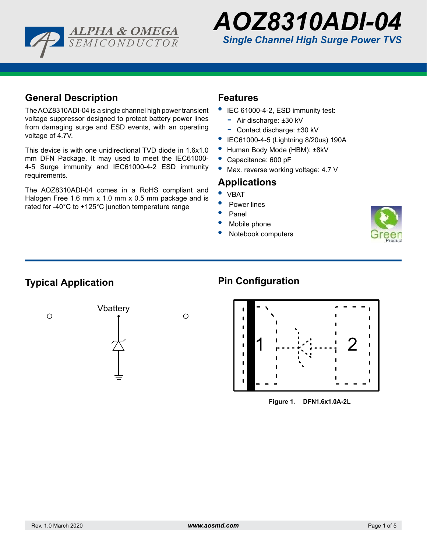



### **General Description**

The AOZ8310ADI-04 is a single channel high power transient voltage suppressor designed to protect battery power lines from damaging surge and ESD events, with an operating voltage of 4.7V.

This device is with one unidirectional TVD diode in 1.6x1.0 mm DFN Package. It may used to meet the IEC61000- 4-5 Surge immunity and IEC61000-4-2 ESD immunity requirements.

The AOZ8310ADI-04 comes in a RoHS compliant and Halogen Free 1.6 mm x 1.0 mm x 0.5 mm package and is rated for -40°C to +125°C junction temperature range

### **Features**

- **•** IEC 61000-4-2, ESD immunity test:
	- Air discharge: ±30 kV
	- Contact discharge: ±30 kV
- **•** IEC61000-4-5 (Lightning 8/20us) 190A
- **•** Human Body Mode (HBM): ±8kV
- **•** Capacitance: 600 pF
- Max. reverse working voltage: 4.7 V

### **Applications**

- **•** VBAT
- **•** Power lines
- **•** Panel
- **•** Mobile phone
- **•** Notebook computers



## **Typical Application**



# **Pin Configuration**



**DFN1.6x1.0A-2L Figure 1. DFN1.6x1.0A-2L**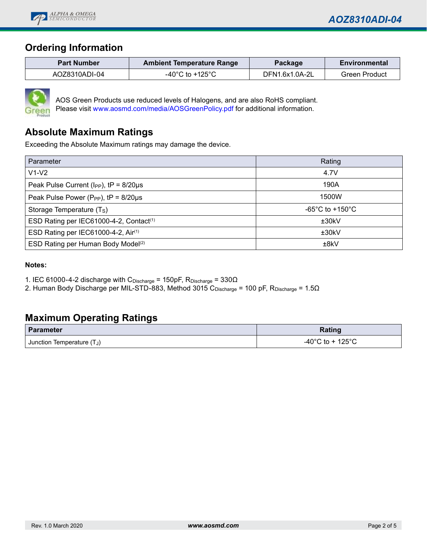

## **Ordering Information**

| <b>Part Number</b> | <b>Ambient Temperature Range</b> | Package        | <b>Environmental</b> |
|--------------------|----------------------------------|----------------|----------------------|
| AOZ8310ADI-04      | -40°C to +125°C                  | DFN1.6x1.0A-2L | Green Product        |



AOS Green Products use reduced levels of Halogens, and are also RoHS compliant. Please visit www.aosmd.com/media/AOSGreenPolicy.pdf for additional information.

## **Absolute Maximum Ratings**

Exceeding the Absolute Maximum ratings may damage the device.

| Parameter                                             | Rating                                |  |  |
|-------------------------------------------------------|---------------------------------------|--|--|
| $V1-V2$                                               | 4.7V                                  |  |  |
| Peak Pulse Current ( $I_{PP}$ ), $tP = 8/20 \mu s$    | 190A                                  |  |  |
| Peak Pulse Power (P <sub>PP</sub> ), $tP = 8/20\mu s$ | 1500W                                 |  |  |
| Storage Temperature (T <sub>S</sub> )                 | -65 $^{\circ}$ C to +150 $^{\circ}$ C |  |  |
| ESD Rating per IEC61000-4-2, Contact <sup>(1)</sup>   | ±30kV                                 |  |  |
| ESD Rating per IEC61000-4-2, Air(1)                   | ±30kV                                 |  |  |
| ESD Rating per Human Body Model <sup>(2)</sup>        | ±8kV                                  |  |  |

#### **Notes:**

1. IEC 61000-4-2 discharge with C<sub>Discharge</sub> = 150pF, R<sub>Discharge</sub> = 330 $\Omega$ 

2. Human Body Discharge per MIL-STD-883, Method 3015 CDischarge = 100 pF, RDischarge = 1.5Ω

### **Maximum Operating Ratings**

| <b>Parameter</b>       | Rating              |
|------------------------|---------------------|
| $(T_J)$                | $\cdot$ 125° $\cap$ |
| Junction Temperature ( | -40°C to            |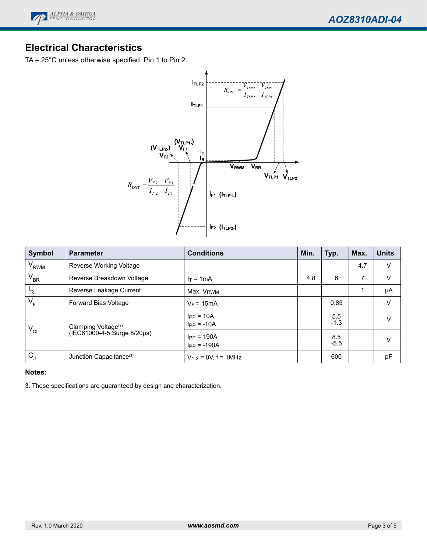

## **Electrical Characteristics**

TA = 25°C unless otherwise specified. Pin 1 to Pin 2.



| <b>Symbol</b>    | <b>Parameter</b>                                               | <b>Conditions</b>                 | Min. | Typ.          | Max. | <b>Units</b> |
|------------------|----------------------------------------------------------------|-----------------------------------|------|---------------|------|--------------|
| V <sub>RWM</sub> | Reverse Working Voltage                                        |                                   |      |               | 4.7  | $\vee$       |
| $V_{BR}$         | Reverse Breakdown Voltage                                      | $l = 1mA$                         | 4.8  | 6             | 7    | V            |
| 'R               | Reverse Leakage Current                                        | Max. V <sub>RWM</sub>             |      |               |      | μA           |
| $V_F$            | Forward Bias Voltage                                           | $V_F = 15mA$                      |      | 0.85          |      | V            |
| $V_{CL}$         | Clamping Voltage <sup>(3)</sup><br>(IEC61000-4-5 Surge 8/20µs) | $I_{PP} = 10A$<br>$I_{PP} = -10A$ |      | 5.5<br>$-1.3$ |      | V            |
|                  |                                                                | $IPP = 190A$<br>$I_{PP} = -190A$  |      | 8.5<br>$-5.5$ |      | V            |
| C                | Junction Capacitance <sup>(3)</sup>                            | $V_{1-2} = 0V$ , f = 1MHz         |      | 600           |      | pF           |

#### **Notes:**

3. These specifications are guaranteed by design and characterization.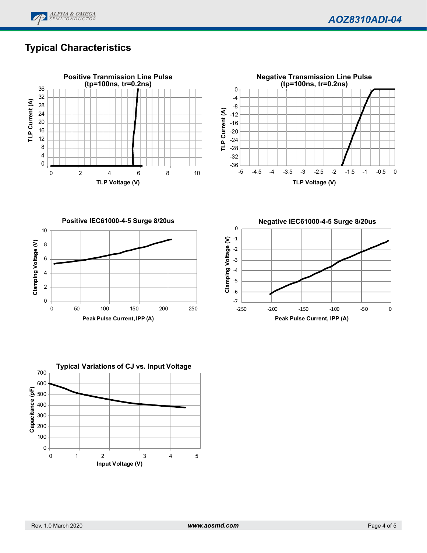

# **Typical Characteristics**





**Positive IEC61000-4-5 Surge 8/20us** 10 Clamping Voltage (V) **Clamping Voltage (V)** 8 6 4 2 0 0 50 100 150 200 250 **Peak Pulse Current, IPP (A)**